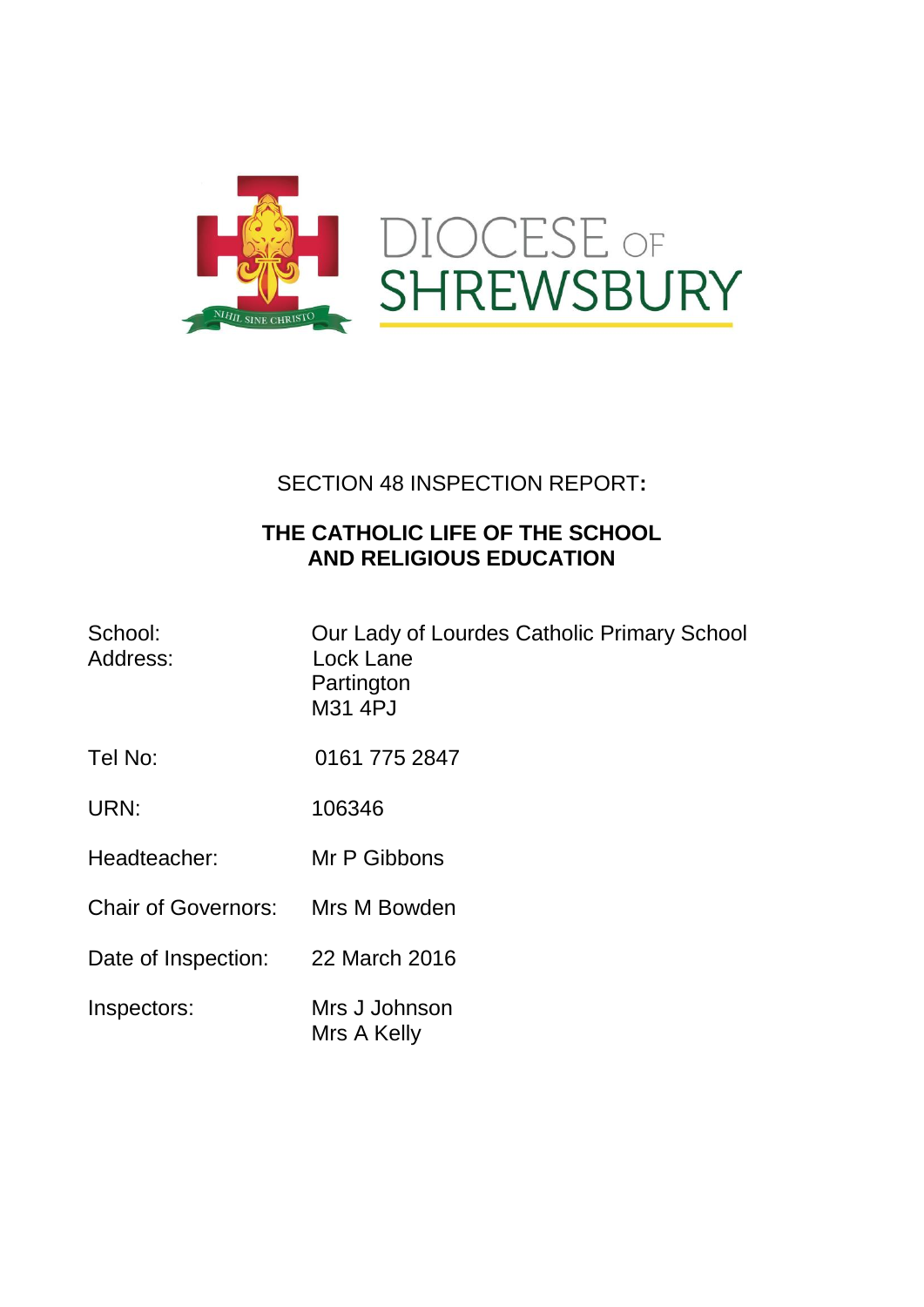

# SECTION 48 INSPECTION REPORT**:**

## **THE CATHOLIC LIFE OF THE SCHOOL AND RELIGIOUS EDUCATION**

| School:<br>Address:        | Our Lady of Lourdes Catholic Primary School<br>Lock Lane<br>Partington<br>M31 4PJ |
|----------------------------|-----------------------------------------------------------------------------------|
| Tel No:                    | 0161 775 2847                                                                     |
| URN:                       | 106346                                                                            |
| Headteacher:               | Mr P Gibbons                                                                      |
| <b>Chair of Governors:</b> | Mrs M Bowden                                                                      |
| Date of Inspection:        | 22 March 2016                                                                     |
| Inspectors:                | Mrs J Johnson<br>Mrs A Kelly                                                      |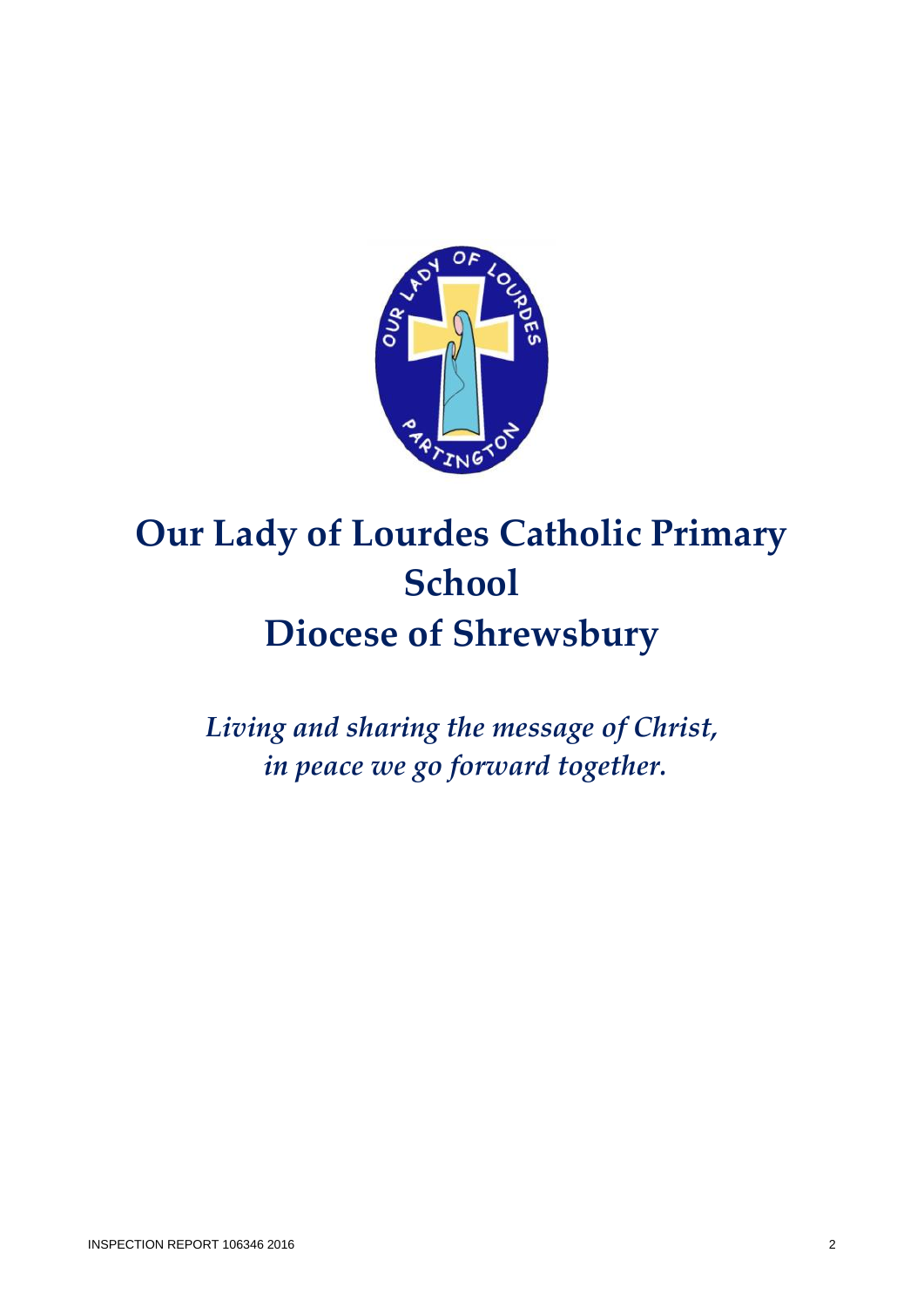

# **Our Lady of Lourdes Catholic Primary School Diocese of Shrewsbury**

*Living and sharing the message of Christ, in peace we go forward together.*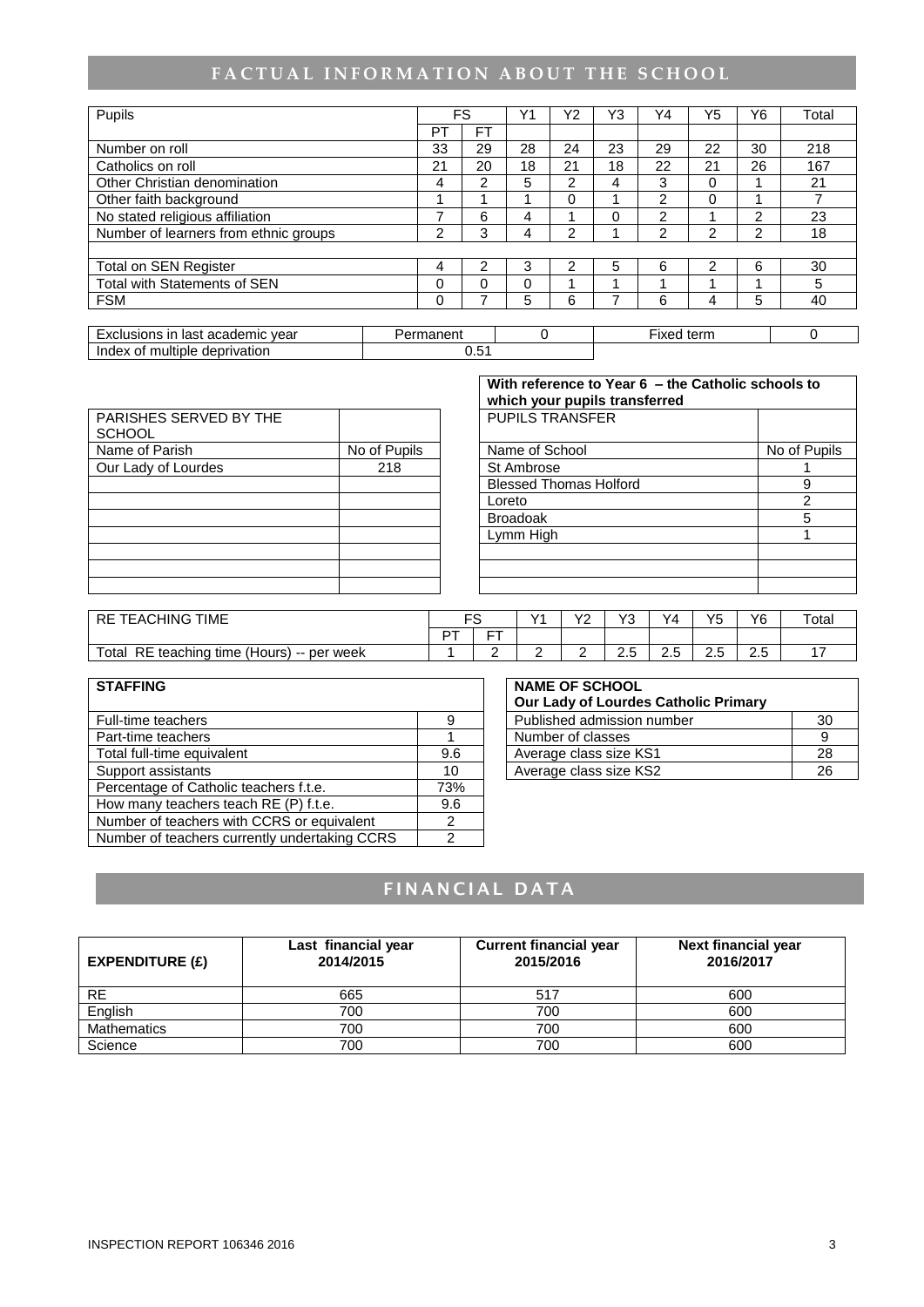# FACTUAL INFORMATION ABOUT THE SCHOOL

| Pupils                                |  |           | FS        | Y <sub>1</sub> | Y2            | Y3 | Υ4             | Y5             | Y6 | Total |
|---------------------------------------|--|-----------|-----------|----------------|---------------|----|----------------|----------------|----|-------|
|                                       |  | PT        | <b>FT</b> |                |               |    |                |                |    |       |
| Number on roll                        |  | 33        | 29        | 28             | 24            | 23 | 29             | 22             | 30 | 218   |
| Catholics on roll                     |  | 21        | 20        | 18             | 21            | 18 | 22             | 21             | 26 | 167   |
| Other Christian denomination          |  | 4         | 2         | 5              | $\mathcal{P}$ | 4  | 3              | $\Omega$       |    | 21    |
| Other faith background                |  |           |           |                | 0             |    | $\overline{2}$ | 0              |    |       |
| No stated religious affiliation       |  |           | 6         | 4              |               | 0  | $\overline{2}$ |                | 2  | 23    |
| Number of learners from ethnic groups |  | 2         | 3         | 4              | 2             |    | $\mathcal{P}$  | 2              | 2  | 18    |
|                                       |  |           |           |                |               |    |                |                |    |       |
| <b>Total on SEN Register</b>          |  | 4         | 2         | 3              | 2             | 5  | 6              | $\mathfrak{p}$ | 6  | 30    |
| <b>Total with Statements of SEN</b>   |  | $\Omega$  | 0         | $\Omega$       | ◢             |    |                |                |    | 5     |
| <b>FSM</b>                            |  | $\Omega$  |           | 5              | 6             |    | 6              | 4              | 5  | 40    |
|                                       |  |           |           |                |               |    |                |                |    |       |
| Exclusions in last academic year      |  | Permanent |           | 0              |               |    | Fixed term     |                |    | 0     |
| Index of multiple deprivation         |  |           | 0.51      |                |               |    |                |                |    |       |

|                                  |              | With reference to Year 6 - the Catholic schools to<br>which your pupils transferred |              |
|----------------------------------|--------------|-------------------------------------------------------------------------------------|--------------|
| PARISHES SERVED BY THE<br>SCHOOL |              | <b>PUPILS TRANSFER</b>                                                              |              |
| Name of Parish                   | No of Pupils | Name of School                                                                      | No of Pupils |
| Our Lady of Lourdes              | 218          | St Ambrose                                                                          |              |
|                                  |              | <b>Blessed Thomas Holford</b>                                                       |              |
|                                  |              | $l$ orato                                                                           |              |

| With reference to Year 6 - the Catholic schools to<br>which your pupils transferred |              |  |  |  |  |
|-------------------------------------------------------------------------------------|--------------|--|--|--|--|
| <b>PUPILS TRANSFER</b>                                                              |              |  |  |  |  |
| Name of School                                                                      | No of Pupils |  |  |  |  |
| St Ambrose                                                                          |              |  |  |  |  |
| <b>Blessed Thomas Holford</b>                                                       | 9            |  |  |  |  |
| Loreto                                                                              | 2            |  |  |  |  |
| <b>Broadoak</b>                                                                     | 5            |  |  |  |  |
| Lymm High                                                                           |              |  |  |  |  |
|                                                                                     |              |  |  |  |  |
|                                                                                     |              |  |  |  |  |
|                                                                                     |              |  |  |  |  |

| <b>TIME</b><br><b>EACHING</b><br><b>RE</b>             | ∼   |    | $\sqrt{4}$ | vo<br>$\overline{\phantom{0}}$ | $\sqrt{2}$           | Y4 | Y5 | Y6                 | Total |
|--------------------------------------------------------|-----|----|------------|--------------------------------|----------------------|----|----|--------------------|-------|
|                                                        | $-$ | -- |            |                                |                      |    |    |                    |       |
| Total<br>RE<br>teaching<br>time (Hours)<br>-- per week |     | -  | -          | -                              | $\sim$ $\sim$<br>ے ۔ | ت  | ت  | -<br>⌒<br>∽<br>د.ء | -     |

| <b>STAFFING</b>                               |     | <b>NAME OF SCHOOL</b>                |    |
|-----------------------------------------------|-----|--------------------------------------|----|
|                                               |     | Our Lady of Lourdes Catholic Primary |    |
| Full-time teachers                            | 9   | Published admission number           | 30 |
| Part-time teachers                            |     | Number of classes                    | 9  |
| Total full-time equivalent                    | 9.6 | Average class size KS1               | 28 |
| Support assistants                            | 10  | Average class size KS2               | 26 |
| Percentage of Catholic teachers f.t.e.        | 73% |                                      |    |
| How many teachers teach RE (P) f.t.e.         | 9.6 |                                      |    |
| Number of teachers with CCRS or equivalent    |     |                                      |    |
| Number of teachers currently undertaking CCRS |     |                                      |    |

| <b>NAME OF SCHOOL</b><br>Our Lady of Lourdes Catholic Primary |    |
|---------------------------------------------------------------|----|
| Published admission number                                    | 30 |
| Number of classes                                             |    |
| Average class size KS1                                        | 28 |
| Average class size KS2                                        |    |

# **FINANCIAL DATA**

| EXPENDITIVE(E)     | Last financial year<br>2014/2015 | <b>Current financial year</b><br>2015/2016 | Next financial year<br>2016/2017 |
|--------------------|----------------------------------|--------------------------------------------|----------------------------------|
| <b>RE</b>          | 665                              | 517                                        | 600                              |
| English            | 700                              | 700                                        | 600                              |
| <b>Mathematics</b> | 700                              | 700                                        | 600                              |
| Science            | 700                              | 700                                        | 600                              |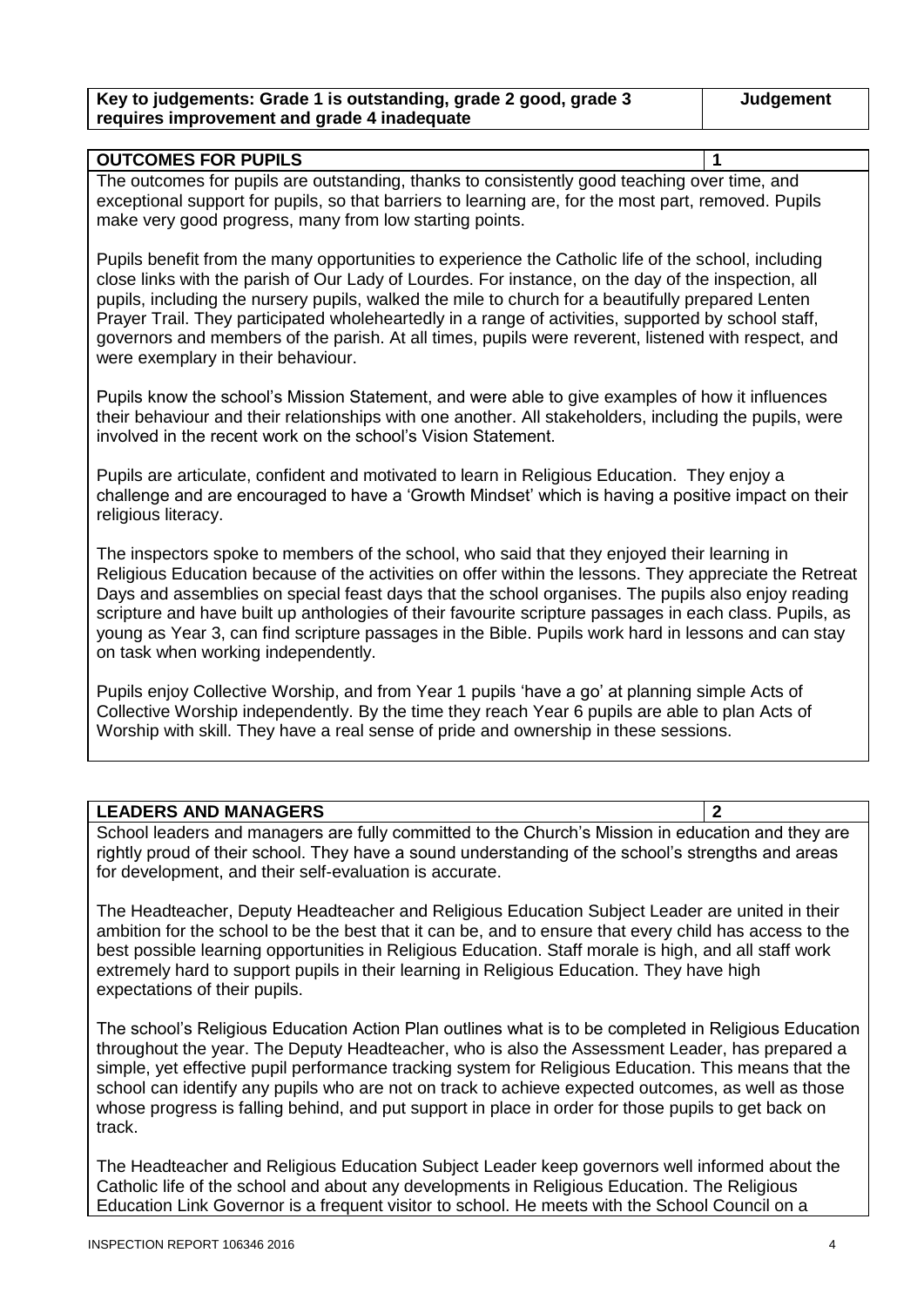| Key to judgements: Grade 1 is outstanding, grade 2 good, grade 3 | Judgement |
|------------------------------------------------------------------|-----------|
| requires improvement and grade 4 inadequate                      |           |

#### **OUTCOMES FOR PUPILS 1**

The outcomes for pupils are outstanding, thanks to consistently good teaching over time, and exceptional support for pupils, so that barriers to learning are, for the most part, removed. Pupils make very good progress, many from low starting points.

Pupils benefit from the many opportunities to experience the Catholic life of the school, including close links with the parish of Our Lady of Lourdes. For instance, on the day of the inspection, all pupils, including the nursery pupils, walked the mile to church for a beautifully prepared Lenten Prayer Trail. They participated wholeheartedly in a range of activities, supported by school staff, governors and members of the parish. At all times, pupils were reverent, listened with respect, and were exemplary in their behaviour.

Pupils know the school's Mission Statement, and were able to give examples of how it influences their behaviour and their relationships with one another. All stakeholders, including the pupils, were involved in the recent work on the school's Vision Statement.

Pupils are articulate, confident and motivated to learn in Religious Education. They enjoy a challenge and are encouraged to have a 'Growth Mindset' which is having a positive impact on their religious literacy.

The inspectors spoke to members of the school, who said that they enjoyed their learning in Religious Education because of the activities on offer within the lessons. They appreciate the Retreat Days and assemblies on special feast days that the school organises. The pupils also enjoy reading scripture and have built up anthologies of their favourite scripture passages in each class. Pupils, as young as Year 3, can find scripture passages in the Bible. Pupils work hard in lessons and can stay on task when working independently.

Pupils enjoy Collective Worship, and from Year 1 pupils 'have a go' at planning simple Acts of Collective Worship independently. By the time they reach Year 6 pupils are able to plan Acts of Worship with skill. They have a real sense of pride and ownership in these sessions.

#### **LEADERS AND MANAGERS 2**

School leaders and managers are fully committed to the Church's Mission in education and they are rightly proud of their school. They have a sound understanding of the school's strengths and areas for development, and their self-evaluation is accurate.

The Headteacher, Deputy Headteacher and Religious Education Subject Leader are united in their ambition for the school to be the best that it can be, and to ensure that every child has access to the best possible learning opportunities in Religious Education. Staff morale is high, and all staff work extremely hard to support pupils in their learning in Religious Education. They have high expectations of their pupils.

The school's Religious Education Action Plan outlines what is to be completed in Religious Education throughout the year. The Deputy Headteacher, who is also the Assessment Leader, has prepared a simple, yet effective pupil performance tracking system for Religious Education. This means that the school can identify any pupils who are not on track to achieve expected outcomes, as well as those whose progress is falling behind, and put support in place in order for those pupils to get back on track.

The Headteacher and Religious Education Subject Leader keep governors well informed about the Catholic life of the school and about any developments in Religious Education. The Religious Education Link Governor is a frequent visitor to school. He meets with the School Council on a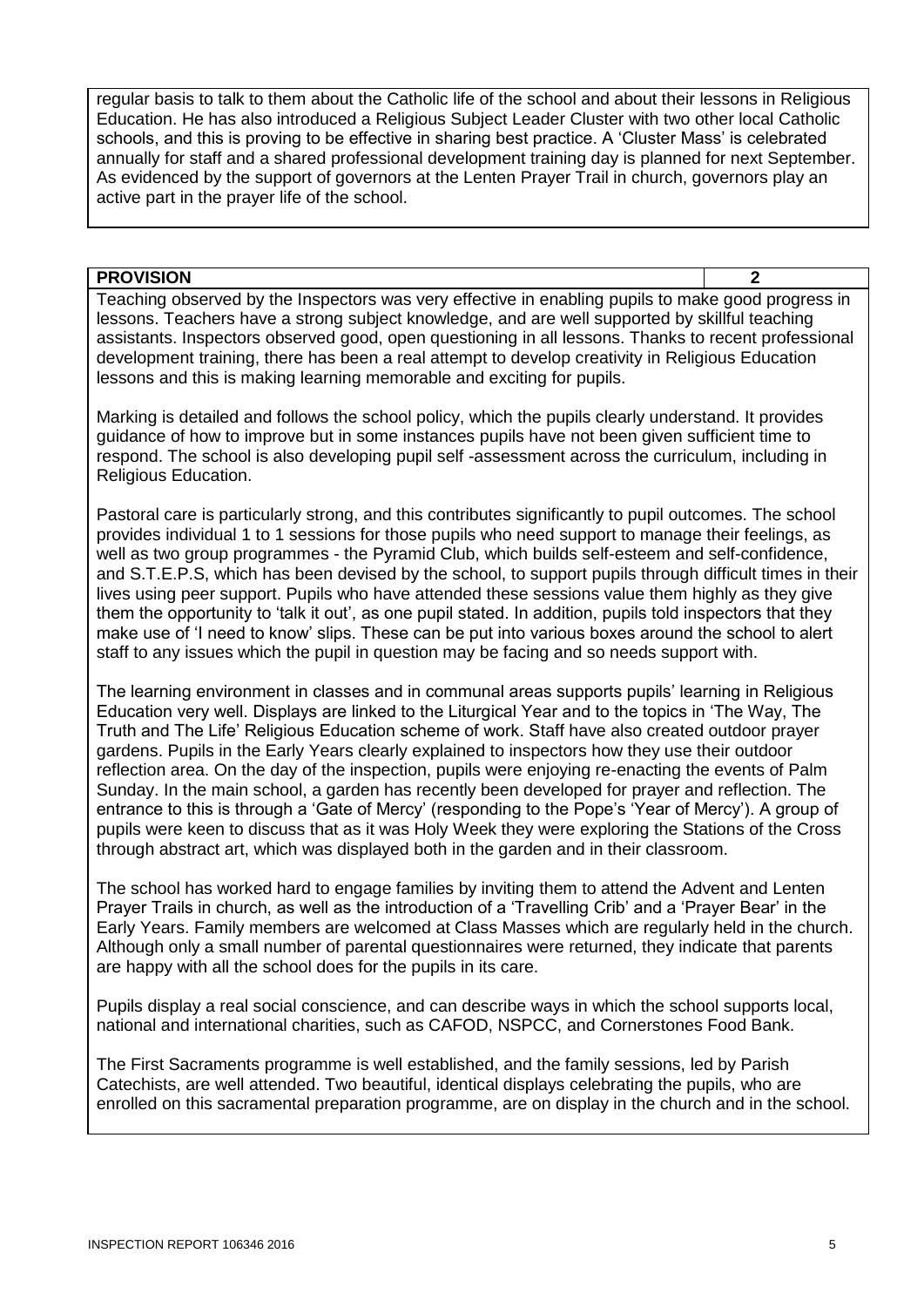regular basis to talk to them about the Catholic life of the school and about their lessons in Religious Education. He has also introduced a Religious Subject Leader Cluster with two other local Catholic schools, and this is proving to be effective in sharing best practice. A 'Cluster Mass' is celebrated annually for staff and a shared professional development training day is planned for next September. As evidenced by the support of governors at the Lenten Prayer Trail in church, governors play an active part in the prayer life of the school.

#### **PROVISION 2**

Teaching observed by the Inspectors was very effective in enabling pupils to make good progress in lessons. Teachers have a strong subject knowledge, and are well supported by skillful teaching assistants. Inspectors observed good, open questioning in all lessons. Thanks to recent professional development training, there has been a real attempt to develop creativity in Religious Education lessons and this is making learning memorable and exciting for pupils.

Marking is detailed and follows the school policy, which the pupils clearly understand. It provides guidance of how to improve but in some instances pupils have not been given sufficient time to respond. The school is also developing pupil self -assessment across the curriculum, including in Religious Education.

Pastoral care is particularly strong, and this contributes significantly to pupil outcomes. The school provides individual 1 to 1 sessions for those pupils who need support to manage their feelings, as well as two group programmes - the Pyramid Club, which builds self-esteem and self-confidence, and S.T.E.P.S, which has been devised by the school, to support pupils through difficult times in their lives using peer support. Pupils who have attended these sessions value them highly as they give them the opportunity to 'talk it out', as one pupil stated. In addition, pupils told inspectors that they make use of 'I need to know' slips. These can be put into various boxes around the school to alert staff to any issues which the pupil in question may be facing and so needs support with.

The learning environment in classes and in communal areas supports pupils' learning in Religious Education very well. Displays are linked to the Liturgical Year and to the topics in 'The Way, The Truth and The Life' Religious Education scheme of work. Staff have also created outdoor prayer gardens. Pupils in the Early Years clearly explained to inspectors how they use their outdoor reflection area. On the day of the inspection, pupils were enjoying re-enacting the events of Palm Sunday. In the main school, a garden has recently been developed for prayer and reflection. The entrance to this is through a 'Gate of Mercy' (responding to the Pope's 'Year of Mercy'). A group of pupils were keen to discuss that as it was Holy Week they were exploring the Stations of the Cross through abstract art, which was displayed both in the garden and in their classroom.

The school has worked hard to engage families by inviting them to attend the Advent and Lenten Prayer Trails in church, as well as the introduction of a 'Travelling Crib' and a 'Prayer Bear' in the Early Years. Family members are welcomed at Class Masses which are regularly held in the church. Although only a small number of parental questionnaires were returned, they indicate that parents are happy with all the school does for the pupils in its care.

Pupils display a real social conscience, and can describe ways in which the school supports local, national and international charities, such as CAFOD, NSPCC, and Cornerstones Food Bank.

The First Sacraments programme is well established, and the family sessions, led by Parish Catechists, are well attended. Two beautiful, identical displays celebrating the pupils, who are enrolled on this sacramental preparation programme, are on display in the church and in the school.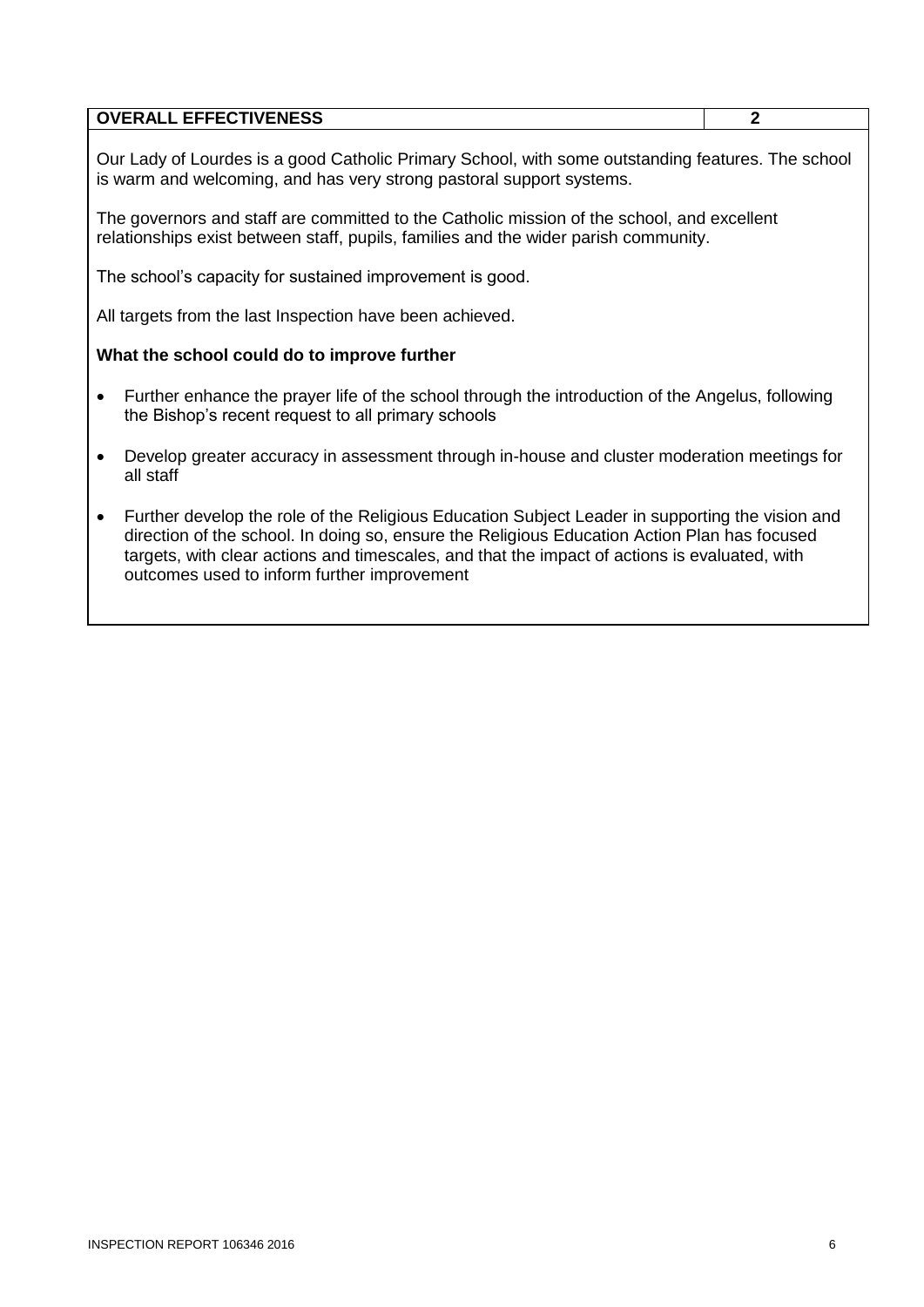|           | <b>OVERALL EFFECTIVENESS</b>                                                                                                                                                                                                                                                                                                                    | $\mathbf{2}$ |  |  |  |  |  |  |
|-----------|-------------------------------------------------------------------------------------------------------------------------------------------------------------------------------------------------------------------------------------------------------------------------------------------------------------------------------------------------|--------------|--|--|--|--|--|--|
|           | Our Lady of Lourdes is a good Catholic Primary School, with some outstanding features. The school<br>is warm and welcoming, and has very strong pastoral support systems.                                                                                                                                                                       |              |  |  |  |  |  |  |
|           | The governors and staff are committed to the Catholic mission of the school, and excellent<br>relationships exist between staff, pupils, families and the wider parish community.                                                                                                                                                               |              |  |  |  |  |  |  |
|           | The school's capacity for sustained improvement is good.                                                                                                                                                                                                                                                                                        |              |  |  |  |  |  |  |
|           | All targets from the last Inspection have been achieved.                                                                                                                                                                                                                                                                                        |              |  |  |  |  |  |  |
|           | What the school could do to improve further                                                                                                                                                                                                                                                                                                     |              |  |  |  |  |  |  |
| $\bullet$ | Further enhance the prayer life of the school through the introduction of the Angelus, following<br>the Bishop's recent request to all primary schools                                                                                                                                                                                          |              |  |  |  |  |  |  |
|           | Develop greater accuracy in assessment through in-house and cluster moderation meetings for<br>all staff                                                                                                                                                                                                                                        |              |  |  |  |  |  |  |
| $\bullet$ | Further develop the role of the Religious Education Subject Leader in supporting the vision and<br>direction of the school. In doing so, ensure the Religious Education Action Plan has focused<br>targets, with clear actions and timescales, and that the impact of actions is evaluated, with<br>outcomes used to inform further improvement |              |  |  |  |  |  |  |